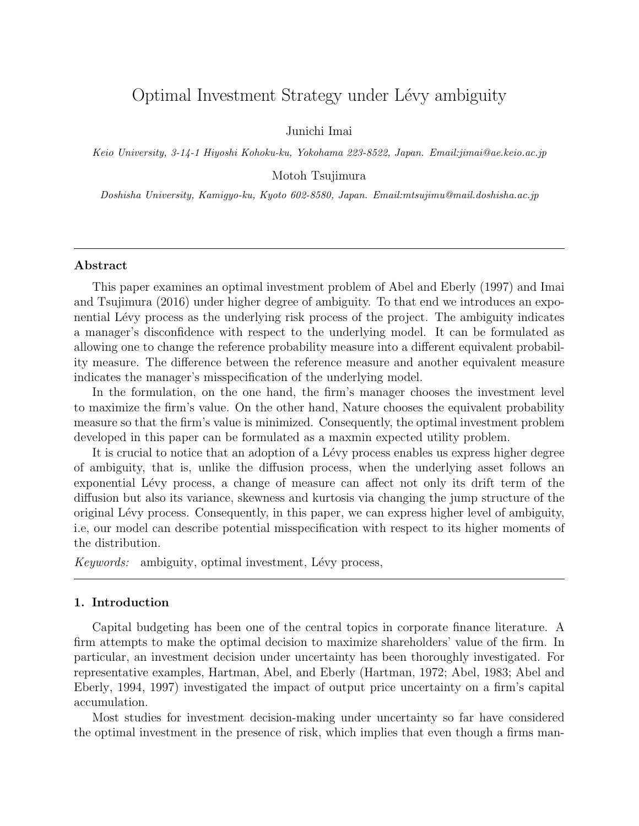# Optimal Investment Strategy under Lévy ambiguity

Junichi Imai

*Keio University, 3-14-1 Hiyoshi Kohoku-ku, Yokohama 223-8522, Japan. Email:jimai@ae.keio.ac.jp*

Motoh Tsujimura

*Doshisha University, Kamigyo-ku, Kyoto 602-8580, Japan. Email:mtsujimu@mail.doshisha.ac.jp*

### **Abstract**

This paper examines an optimal investment problem of Abel and Eberly (1997) and Imai and Tsujimura (2016) under higher degree of ambiguity. To that end we introduces an exponential Lévy process as the underlying risk process of the project. The ambiguity indicates a manager's disconfidence with respect to the underlying model. It can be formulated as allowing one to change the reference probability measure into a different equivalent probability measure. The difference between the reference measure and another equivalent measure indicates the manager's misspecification of the underlying model.

In the formulation, on the one hand, the firm's manager chooses the investment level to maximize the firm's value. On the other hand, Nature chooses the equivalent probability measure so that the firm's value is minimized. Consequently, the optimal investment problem developed in this paper can be formulated as a maxmin expected utility problem.

It is crucial to notice that an adoption of a Lévy process enables us express higher degree of ambiguity, that is, unlike the diffusion process, when the underlying asset follows an exponential Lévy process, a change of measure can affect not only its drift term of the diffusion but also its variance, skewness and kurtosis via changing the jump structure of the original L´evy process. Consequently, in this paper, we can express higher level of ambiguity, i.e, our model can describe potential misspecification with respect to its higher moments of the distribution.

*Keywords:* ambiguity, optimal investment, Lévy process,

# **1. Introduction**

Capital budgeting has been one of the central topics in corporate finance literature. A firm attempts to make the optimal decision to maximize shareholders' value of the firm. In particular, an investment decision under uncertainty has been thoroughly investigated. For representative examples, Hartman, Abel, and Eberly (Hartman, 1972; Abel, 1983; Abel and Eberly, 1994, 1997) investigated the impact of output price uncertainty on a firm's capital accumulation.

Most studies for investment decision-making under uncertainty so far have considered the optimal investment in the presence of risk, which implies that even though a firms man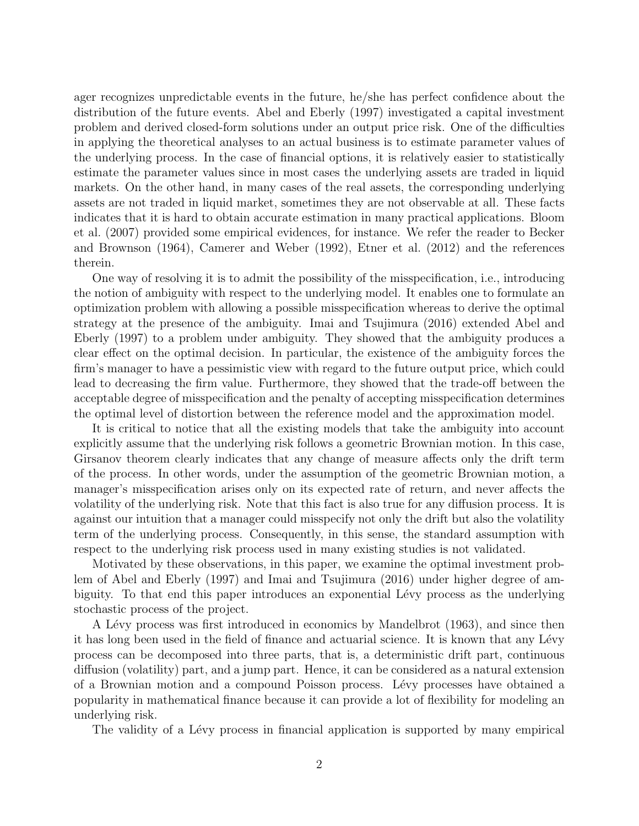ager recognizes unpredictable events in the future, he/she has perfect confidence about the distribution of the future events. Abel and Eberly (1997) investigated a capital investment problem and derived closed-form solutions under an output price risk. One of the difficulties in applying the theoretical analyses to an actual business is to estimate parameter values of the underlying process. In the case of financial options, it is relatively easier to statistically estimate the parameter values since in most cases the underlying assets are traded in liquid markets. On the other hand, in many cases of the real assets, the corresponding underlying assets are not traded in liquid market, sometimes they are not observable at all. These facts indicates that it is hard to obtain accurate estimation in many practical applications. Bloom et al. (2007) provided some empirical evidences, for instance. We refer the reader to Becker and Brownson (1964), Camerer and Weber (1992), Etner et al. (2012) and the references therein.

One way of resolving it is to admit the possibility of the misspecification, i.e., introducing the notion of ambiguity with respect to the underlying model. It enables one to formulate an optimization problem with allowing a possible misspecification whereas to derive the optimal strategy at the presence of the ambiguity. Imai and Tsujimura (2016) extended Abel and Eberly (1997) to a problem under ambiguity. They showed that the ambiguity produces a clear effect on the optimal decision. In particular, the existence of the ambiguity forces the firm's manager to have a pessimistic view with regard to the future output price, which could lead to decreasing the firm value. Furthermore, they showed that the trade-off between the acceptable degree of misspecification and the penalty of accepting misspecification determines the optimal level of distortion between the reference model and the approximation model.

It is critical to notice that all the existing models that take the ambiguity into account explicitly assume that the underlying risk follows a geometric Brownian motion. In this case, Girsanov theorem clearly indicates that any change of measure affects only the drift term of the process. In other words, under the assumption of the geometric Brownian motion, a manager's misspecification arises only on its expected rate of return, and never affects the volatility of the underlying risk. Note that this fact is also true for any diffusion process. It is against our intuition that a manager could misspecify not only the drift but also the volatility term of the underlying process. Consequently, in this sense, the standard assumption with respect to the underlying risk process used in many existing studies is not validated.

Motivated by these observations, in this paper, we examine the optimal investment problem of Abel and Eberly (1997) and Imai and Tsujimura (2016) under higher degree of ambiguity. To that end this paper introduces an exponential Lévy process as the underlying stochastic process of the project.

A Lévy process was first introduced in economics by Mandelbrot (1963), and since then it has long been used in the field of finance and actuarial science. It is known that any Lévy process can be decomposed into three parts, that is, a deterministic drift part, continuous diffusion (volatility) part, and a jump part. Hence, it can be considered as a natural extension of a Brownian motion and a compound Poisson process. L´evy processes have obtained a popularity in mathematical finance because it can provide a lot of flexibility for modeling an underlying risk.

The validity of a Lévy process in financial application is supported by many empirical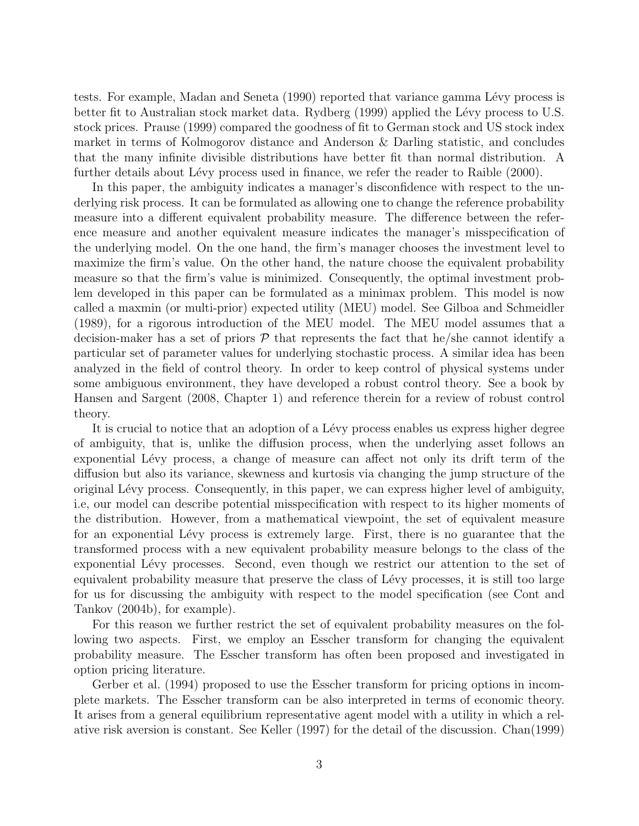tests. For example, Madan and Seneta (1990) reported that variance gamma Lévy process is better fit to Australian stock market data. Rydberg (1999) applied the Lévy process to U.S. stock prices. Prause (1999) compared the goodness of fit to German stock and US stock index market in terms of Kolmogorov distance and Anderson & Darling statistic, and concludes that the many infinite divisible distributions have better fit than normal distribution. A further details about Lévy process used in finance, we refer the reader to Raible (2000).

In this paper, the ambiguity indicates a manager's disconfidence with respect to the underlying risk process. It can be formulated as allowing one to change the reference probability measure into a different equivalent probability measure. The difference between the reference measure and another equivalent measure indicates the manager's misspecification of the underlying model. On the one hand, the firm's manager chooses the investment level to maximize the firm's value. On the other hand, the nature choose the equivalent probability measure so that the firm's value is minimized. Consequently, the optimal investment problem developed in this paper can be formulated as a minimax problem. This model is now called a maxmin (or multi-prior) expected utility (MEU) model. See Gilboa and Schmeidler (1989), for a rigorous introduction of the MEU model. The MEU model assumes that a decision-maker has a set of priors  $P$  that represents the fact that he/she cannot identify a particular set of parameter values for underlying stochastic process. A similar idea has been analyzed in the field of control theory. In order to keep control of physical systems under some ambiguous environment, they have developed a robust control theory. See a book by Hansen and Sargent (2008, Chapter 1) and reference therein for a review of robust control theory.

It is crucial to notice that an adoption of a Lévy process enables us express higher degree of ambiguity, that is, unlike the diffusion process, when the underlying asset follows an exponential Lévy process, a change of measure can affect not only its drift term of the diffusion but also its variance, skewness and kurtosis via changing the jump structure of the original L´evy process. Consequently, in this paper, we can express higher level of ambiguity, i.e, our model can describe potential misspecification with respect to its higher moments of the distribution. However, from a mathematical viewpoint, the set of equivalent measure for an exponential Lévy process is extremely large. First, there is no guarantee that the transformed process with a new equivalent probability measure belongs to the class of the exponential Lévy processes. Second, even though we restrict our attention to the set of equivalent probability measure that preserve the class of Lévy processes, it is still too large for us for discussing the ambiguity with respect to the model specification (see Cont and Tankov (2004b), for example).

For this reason we further restrict the set of equivalent probability measures on the following two aspects. First, we employ an Esscher transform for changing the equivalent probability measure. The Esscher transform has often been proposed and investigated in option pricing literature.

Gerber et al. (1994) proposed to use the Esscher transform for pricing options in incomplete markets. The Esscher transform can be also interpreted in terms of economic theory. It arises from a general equilibrium representative agent model with a utility in which a relative risk aversion is constant. See Keller (1997) for the detail of the discussion. Chan(1999)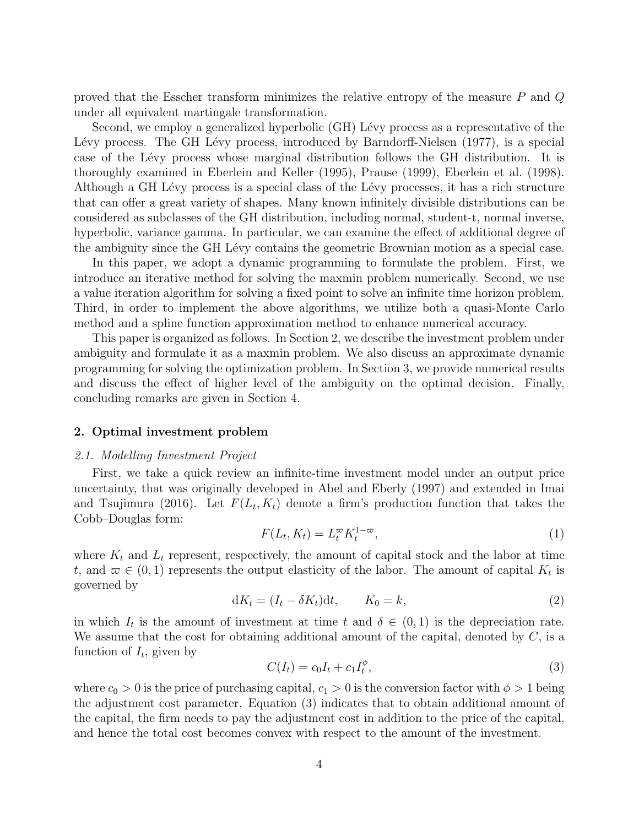proved that the Esscher transform minimizes the relative entropy of the measure *P* and *Q* under all equivalent martingale transformation.

Second, we employ a generalized hyperbolic (GH) Lévy process as a representative of the Lévy process. The GH Lévy process, introduced by Barndorff-Nielsen (1977), is a special case of the Lévy process whose marginal distribution follows the GH distribution. It is thoroughly examined in Eberlein and Keller (1995), Prause (1999), Eberlein et al. (1998). Although a GH Lévy process is a special class of the Lévy processes, it has a rich structure that can offer a great variety of shapes. Many known infinitely divisible distributions can be considered as subclasses of the GH distribution, including normal, student-t, normal inverse, hyperbolic, variance gamma. In particular, we can examine the effect of additional degree of the ambiguity since the GH Lévy contains the geometric Brownian motion as a special case.

In this paper, we adopt a dynamic programming to formulate the problem. First, we introduce an iterative method for solving the maxmin problem numerically. Second, we use a value iteration algorithm for solving a fixed point to solve an infinite time horizon problem. Third, in order to implement the above algorithms, we utilize both a quasi-Monte Carlo method and a spline function approximation method to enhance numerical accuracy.

This paper is organized as follows. In Section 2, we describe the investment problem under ambiguity and formulate it as a maxmin problem. We also discuss an approximate dynamic programming for solving the optimization problem. In Section 3, we provide numerical results and discuss the effect of higher level of the ambiguity on the optimal decision. Finally, concluding remarks are given in Section 4.

### **2. Optimal investment problem**

### *2.1. Modelling Investment Project*

First, we take a quick review an infinite-time investment model under an output price uncertainty, that was originally developed in Abel and Eberly (1997) and extended in Imai and Tsujimura (2016). Let  $F(L_t, K_t)$  denote a firm's production function that takes the Cobb–Douglas form:

$$
F(L_t, K_t) = L_t^{\varpi} K_t^{1-\varpi},\tag{1}
$$

where  $K_t$  and  $L_t$  represent, respectively, the amount of capital stock and the labor at time *t*, and  $\varpi \in (0,1)$  represents the output elasticity of the labor. The amount of capital  $K_t$  is governed by

$$
dK_t = (I_t - \delta K_t)dt, \qquad K_0 = k,
$$
\n<sup>(2)</sup>

in which  $I_t$  is the amount of investment at time  $t$  and  $\delta \in (0,1)$  is the depreciation rate. We assume that the cost for obtaining additional amount of the capital, denoted by *C*, is a function of  $I_t$ , given by

$$
C(I_t) = c_0 I_t + c_1 I_t^{\phi}, \t\t(3)
$$

where  $c_0 > 0$  is the price of purchasing capital,  $c_1 > 0$  is the conversion factor with  $\phi > 1$  being the adjustment cost parameter. Equation (3) indicates that to obtain additional amount of the capital, the firm needs to pay the adjustment cost in addition to the price of the capital, and hence the total cost becomes convex with respect to the amount of the investment.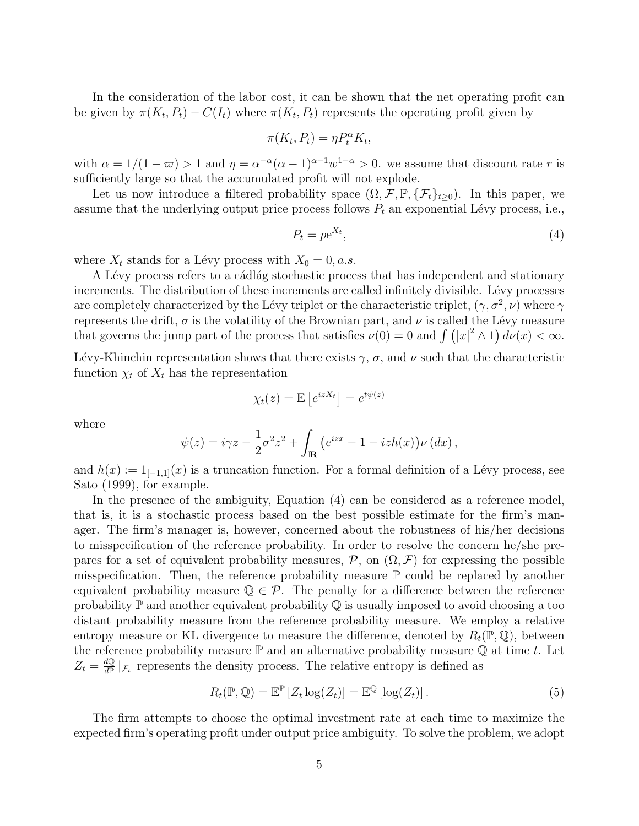In the consideration of the labor cost, it can be shown that the net operating profit can be given by  $\pi(K_t, P_t) - C(I_t)$  where  $\pi(K_t, P_t)$  represents the operating profit given by

$$
\pi(K_t, P_t) = \eta P_t^{\alpha} K_t,
$$

with  $\alpha = 1/(1 - \varpi) > 1$  and  $\eta = \alpha^{-\alpha}(\alpha - 1)^{\alpha - 1}w^{1 - \alpha} > 0$ . we assume that discount rate *r* is sufficiently large so that the accumulated profit will not explode.

Let us now introduce a filtered probability space  $(\Omega, \mathcal{F}, \mathbb{P}, \{\mathcal{F}_t\}_{t\geq 0})$ . In this paper, we assume that the underlying output price process follows  $P_t$  an exponential Lévy process, i.e.,

$$
P_t = p e^{X_t},\tag{4}
$$

where  $X_t$  stands for a Lévy process with  $X_0 = 0, a.s.$ 

A Lévy process refers to a cádlág stochastic process that has independent and stationary increments. The distribution of these increments are called infinitely divisible. Lévy processes are completely characterized by the Lévy triplet or the characteristic triplet,  $(\gamma, \sigma^2, \nu)$  where  $\gamma$ represents the drift,  $\sigma$  is the volatility of the Brownian part, and  $\nu$  is called the Lévy measure that governs the jump part of the process that satisfies  $\nu(0) = 0$  and  $\int (|x|^2 \wedge 1) d\nu(x) < \infty$ .

Lévy-Khinchin representation shows that there exists  $\gamma$ ,  $\sigma$ , and  $\nu$  such that the characteristic function  $\chi_t$  of  $X_t$  has the representation

$$
\chi_t(z) = \mathbb{E}\left[e^{izX_t}\right] = e^{t\psi(z)}
$$

where

$$
\psi(z) = i\gamma z - \frac{1}{2}\sigma^2 z^2 + \int_{\mathbf{R}} \left( e^{izx} - 1 - izh(x) \right) \nu(dx),
$$

and  $h(x) := 1_{[-1,1]}(x)$  is a truncation function. For a formal definition of a Lévy process, see Sato (1999), for example.

In the presence of the ambiguity, Equation (4) can be considered as a reference model, that is, it is a stochastic process based on the best possible estimate for the firm's manager. The firm's manager is, however, concerned about the robustness of his/her decisions to misspecification of the reference probability. In order to resolve the concern he/she prepares for a set of equivalent probability measures,  $P$ , on  $(\Omega, \mathcal{F})$  for expressing the possible misspecification. Then, the reference probability measure  $\mathbb P$  could be replaced by another equivalent probability measure  $\mathbb{Q} \in \mathcal{P}$ . The penalty for a difference between the reference probability  $\mathbb P$  and another equivalent probability  $\mathbb Q$  is usually imposed to avoid choosing a too distant probability measure from the reference probability measure. We employ a relative entropy measure or KL divergence to measure the difference, denoted by  $R_t(\mathbb{P}, \mathbb{Q})$ , between the reference probability measure  $\mathbb P$  and an alternative probability measure  $\mathbb Q$  at time *t*. Let  $Z_t = \frac{dQ}{dP}$  $\frac{dQ}{dP}|_{\mathcal{F}_t}$  represents the density process. The relative entropy is defined as

$$
R_t(\mathbb{P}, \mathbb{Q}) = \mathbb{E}^{\mathbb{P}} \left[ Z_t \log(Z_t) \right] = \mathbb{E}^{\mathbb{Q}} \left[ \log(Z_t) \right]. \tag{5}
$$

The firm attempts to choose the optimal investment rate at each time to maximize the expected firm's operating profit under output price ambiguity. To solve the problem, we adopt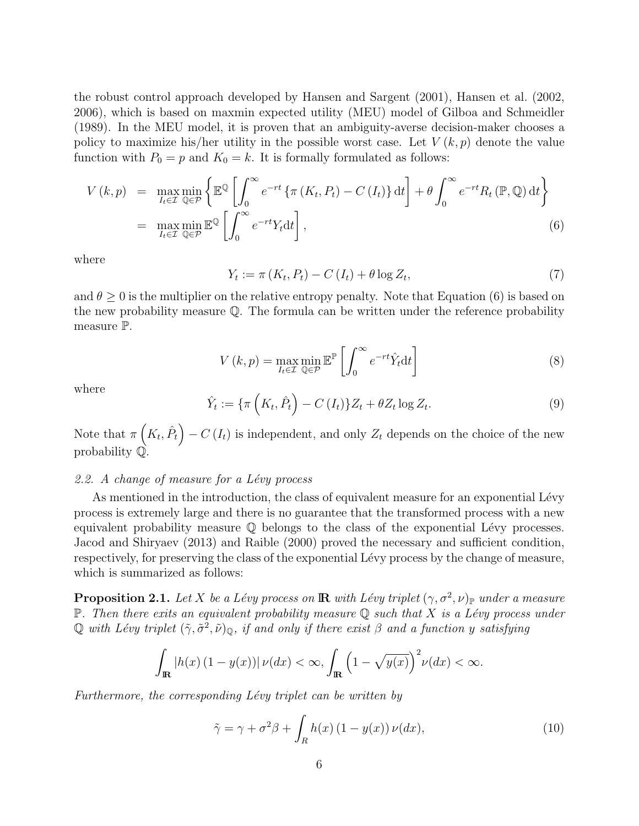the robust control approach developed by Hansen and Sargent (2001), Hansen et al. (2002, 2006), which is based on maxmin expected utility (MEU) model of Gilboa and Schmeidler (1989). In the MEU model, it is proven that an ambiguity-averse decision-maker chooses a policy to maximize his/her utility in the possible worst case. Let  $V(k, p)$  denote the value function with  $P_0 = p$  and  $K_0 = k$ . It is formally formulated as follows:

$$
V(k,p) = \max_{I_t \in \mathcal{I}} \min_{\mathbb{Q} \in \mathcal{P}} \left\{ \mathbb{E}^{\mathbb{Q}} \left[ \int_0^\infty e^{-rt} \left\{ \pi \left( K_t, P_t \right) - C \left( I_t \right) \right\} \mathrm{d}t \right] + \theta \int_0^\infty e^{-rt} R_t \left( \mathbb{P}, \mathbb{Q} \right) \mathrm{d}t \right\}
$$
  
= 
$$
\max_{I_t \in \mathcal{I}} \min_{\mathbb{Q} \in \mathcal{P}} \mathbb{E}^{\mathbb{Q}} \left[ \int_0^\infty e^{-rt} Y_t \mathrm{d}t \right],
$$
 (6)

where

$$
Y_t := \pi(K_t, P_t) - C(I_t) + \theta \log Z_t,\tag{7}
$$

and  $\theta \geq 0$  is the multiplier on the relative entropy penalty. Note that Equation (6) is based on the new probability measure  $\mathbb Q$ . The formula can be written under the reference probability measure P.

$$
V(k,p) = \max_{I_t \in \mathcal{I}} \min_{\mathbb{Q} \in \mathcal{P}} \mathbb{E}^{\mathbb{P}} \left[ \int_0^\infty e^{-rt} \hat{Y}_t dt \right]
$$
 (8)

where

$$
\hat{Y}_t := \{ \pi \left( K_t, \hat{P}_t \right) - C \left( I_t \right) \} Z_t + \theta Z_t \log Z_t. \tag{9}
$$

Note that  $\pi\left(K_t, \hat{P}_t\right) - C\left(I_t\right)$  is independent, and only  $Z_t$  depends on the choice of the new probability Q.

# *2.2. A change of measure for a L´evy process*

As mentioned in the introduction, the class of equivalent measure for an exponential Lévy process is extremely large and there is no guarantee that the transformed process with a new equivalent probability measure  $\mathbb Q$  belongs to the class of the exponential Lévy processes. Jacod and Shiryaev (2013) and Raible (2000) proved the necessary and sufficient condition, respectively, for preserving the class of the exponential Lévy process by the change of measure, which is summarized as follows:

**Proposition 2.1.** *Let*  $X$  *be a Lévy process on*  $\mathbb{R}$  *with Lévy triplet*  $(\gamma, \sigma^2, \nu)_\mathbb{P}$  *under a measure*  $\mathbb{P}$ *. Then there exits an equivalent probability measure*  $\mathbb{Q}$  *such that*  $X$  *is a Lévy process under*  $\mathbb Q$  *with Lévy triplet*  $(\tilde{\gamma}, \tilde{\sigma}^2, \tilde{\nu})_{\mathbb Q}$ *, if and only if there exist*  $\beta$  *and a function y satisfying* 

$$
\int_{\mathbb{R}} |h(x) (1 - y(x))| \nu(dx) < \infty, \int_{\mathbb{R}} \left(1 - \sqrt{y(x)}\right)^2 \nu(dx) < \infty.
$$

Furthermore, the corresponding Lévy triplet can be written by

$$
\tilde{\gamma} = \gamma + \sigma^2 \beta + \int_R h(x) (1 - y(x)) \nu(dx), \qquad (10)
$$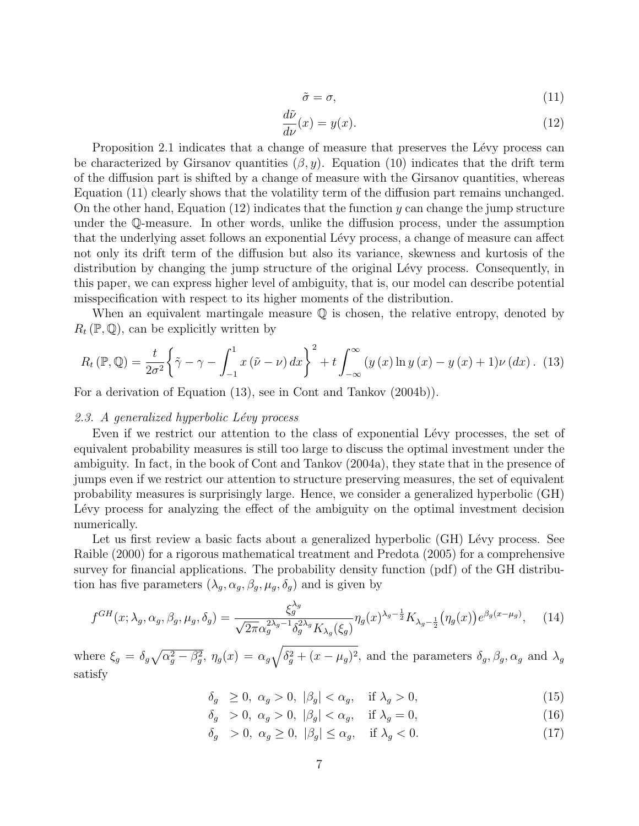$$
\tilde{\sigma} = \sigma,\tag{11}
$$

$$
\frac{d\tilde{\nu}}{d\nu}(x) = y(x). \tag{12}
$$

Proposition 2.1 indicates that a change of measure that preserves the Lévy process can be characterized by Girsanov quantities  $(\beta, y)$ . Equation (10) indicates that the drift term of the diffusion part is shifted by a change of measure with the Girsanov quantities, whereas Equation (11) clearly shows that the volatility term of the diffusion part remains unchanged. On the other hand, Equation (12) indicates that the function *y* can change the jump structure under the Q-measure. In other words, unlike the diffusion process, under the assumption that the underlying asset follows an exponential Lévy process, a change of measure can affect not only its drift term of the diffusion but also its variance, skewness and kurtosis of the distribution by changing the jump structure of the original Lévy process. Consequently, in this paper, we can express higher level of ambiguity, that is, our model can describe potential misspecification with respect to its higher moments of the distribution.

When an equivalent martingale measure  $\mathbb Q$  is chosen, the relative entropy, denoted by  $R_t(\mathbb{P}, \mathbb{Q})$ , can be explicitly written by

$$
R_t\left(\mathbb{P},\mathbb{Q}\right) = \frac{t}{2\sigma^2} \left\{ \tilde{\gamma} - \gamma - \int_{-1}^1 x\left(\tilde{\nu} - \nu\right) dx \right\}^2 + t \int_{-\infty}^\infty \left(y\left(x\right) \ln y\left(x\right) - y\left(x\right) + 1\right) \nu\left(dx\right). \tag{13}
$$

For a derivation of Equation (13), see in Cont and Tankov (2004b)).

## *2.3. A generalized hyperbolic L´evy process*

Even if we restrict our attention to the class of exponential Lévy processes, the set of equivalent probability measures is still too large to discuss the optimal investment under the ambiguity. In fact, in the book of Cont and Tankov (2004a), they state that in the presence of jumps even if we restrict our attention to structure preserving measures, the set of equivalent probability measures is surprisingly large. Hence, we consider a generalized hyperbolic (GH) Lévy process for analyzing the effect of the ambiguity on the optimal investment decision numerically.

Let us first review a basic facts about a generalized hyperbolic (GH) Lévy process. See Raible (2000) for a rigorous mathematical treatment and Predota (2005) for a comprehensive survey for financial applications. The probability density function (pdf) of the GH distribution has five parameters  $(\lambda_g, \alpha_g, \beta_g, \mu_g, \delta_g)$  and is given by

$$
f^{GH}(x; \lambda_g, \alpha_g, \beta_g, \mu_g, \delta_g) = \frac{\xi_g^{\lambda_g}}{\sqrt{2\pi\alpha_g^{2\lambda_g - 1}\delta_g^{2\lambda_g}K_{\lambda_g}(\xi_g)}} \eta_g(x)^{\lambda_g - \frac{1}{2}} K_{\lambda_g - \frac{1}{2}} \left(\eta_g(x)\right) e^{\beta_g(x - \mu_g)}, \quad (14)
$$

where  $\xi_g = \delta_g \sqrt{\alpha_g^2 - \beta_g^2}$ ,  $\eta_g(x) = \alpha_g \sqrt{\delta_g^2 + (x - \mu_g)^2}$ , and the parameters  $\delta_g$ ,  $\beta_g$ ,  $\alpha_g$  and  $\lambda_g$ satisfy

$$
\delta_g \ge 0, \ \alpha_g > 0, \ |\beta_g| < \alpha_g, \quad \text{if } \lambda_g > 0,\tag{15}
$$

$$
\delta_g > 0, \ \alpha_g > 0, \ |\beta_g| < \alpha_g, \quad \text{if } \lambda_g = 0,
$$
\n
$$
(16)
$$

$$
\delta_g > 0, \ \alpha_g \ge 0, \ |\beta_g| \le \alpha_g, \quad \text{if } \lambda_g < 0. \tag{17}
$$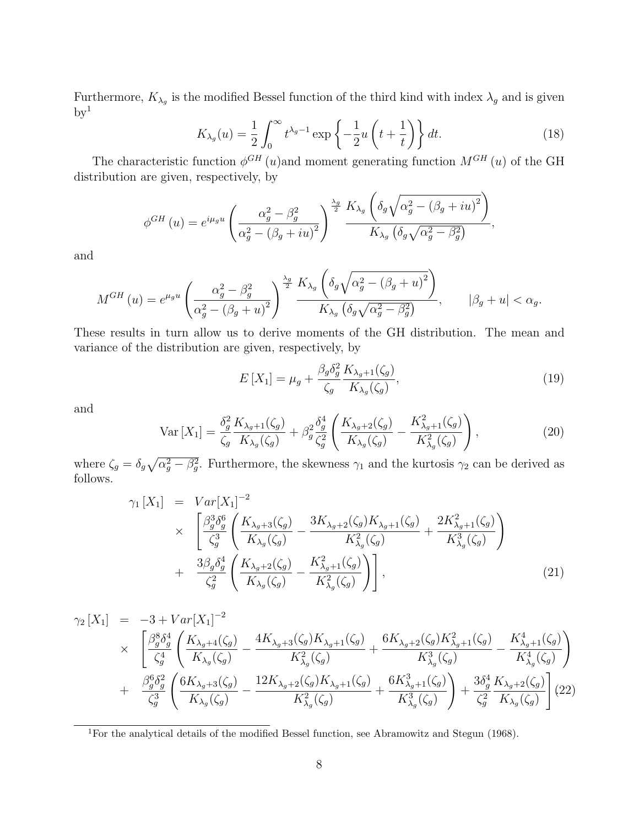Furthermore,  $K_{\lambda_g}$  is the modified Bessel function of the third kind with index  $\lambda_g$  and is given  $\rm{by}^1$ 

$$
K_{\lambda_g}(u) = \frac{1}{2} \int_0^\infty t^{\lambda_g - 1} \exp\left\{-\frac{1}{2}u\left(t + \frac{1}{t}\right)\right\} dt.
$$
 (18)

The characteristic function  $\phi^{GH}(u)$  and moment generating function  $M^{GH}(u)$  of the GH distribution are given, respectively, by

$$
\phi^{GH}(u) = e^{i\mu_g u} \left( \frac{\alpha_g^2 - \beta_g^2}{\alpha_g^2 - (\beta_g + iu)^2} \right)^{\frac{\lambda_g}{2}} \frac{K_{\lambda_g} \left( \delta_g \sqrt{\alpha_g^2 - (\beta_g + iu)^2} \right)}{K_{\lambda_g} \left( \delta_g \sqrt{\alpha_g^2 - \beta_g^2} \right)},
$$

and

$$
M^{GH}(u) = e^{\mu_g u} \left( \frac{\alpha_g^2 - \beta_g^2}{\alpha_g^2 - (\beta_g + u)^2} \right)^{\frac{\lambda_g}{2}} \frac{K_{\lambda_g} \left( \delta_g \sqrt{\alpha_g^2 - (\beta_g + u)^2} \right)}{K_{\lambda_g} \left( \delta_g \sqrt{\alpha_g^2 - \beta_g^2} \right)}, \qquad |\beta_g + u| < \alpha_g.
$$

These results in turn allow us to derive moments of the GH distribution. The mean and variance of the distribution are given, respectively, by

$$
E\left[X_1\right] = \mu_g + \frac{\beta_g \delta_g^2}{\zeta_g} \frac{K_{\lambda_g+1}(\zeta_g)}{K_{\lambda_g}(\zeta_g)},\tag{19}
$$

and

$$
\text{Var}\left[X_{1}\right] = \frac{\delta_{g}^{2}}{\zeta_{g}} \frac{K_{\lambda_{g}+1}(\zeta_{g})}{K_{\lambda_{g}}(\zeta_{g})} + \beta_{g}^{2} \frac{\delta_{g}^{4}}{\zeta_{g}^{2}} \left(\frac{K_{\lambda_{g}+2}(\zeta_{g})}{K_{\lambda_{g}}(\zeta_{g})} - \frac{K_{\lambda_{g}+1}^{2}(\zeta_{g})}{K_{\lambda_{g}}^{2}(\zeta_{g})}\right),\tag{20}
$$

where  $\zeta_g = \delta_g \sqrt{\alpha_g^2 - \beta_g^2}$ . Furthermore, the skewness  $\gamma_1$  and the kurtosis  $\gamma_2$  can be derived as follows.

$$
\gamma_{1}[X_{1}] = Var[X_{1}]^{-2}
$$
\n
$$
\times \left[ \frac{\beta_{g}^{3} \delta_{g}^{6}}{\zeta_{g}^{3}} \left( \frac{K_{\lambda_{g}+3}(\zeta_{g})}{K_{\lambda_{g}}(\zeta_{g})} - \frac{3K_{\lambda_{g}+2}(\zeta_{g})K_{\lambda_{g}+1}(\zeta_{g})}{K_{\lambda_{g}}^{2}(\zeta_{g})} + \frac{2K_{\lambda_{g}+1}^{2}(\zeta_{g})}{K_{\lambda_{g}}^{3}(\zeta_{g})} \right) + \frac{3\beta_{g}\delta_{g}^{4}}{\zeta_{g}^{2}} \left( \frac{K_{\lambda_{g}+2}(\zeta_{g})}{K_{\lambda_{g}}(\zeta_{g})} - \frac{K_{\lambda_{g}+1}^{2}(\zeta_{g})}{K_{\lambda_{g}}^{2}(\zeta_{g})} \right), \tag{21}
$$

$$
\gamma_2 \left[X_1\right] = -3 + Var\left[X_1\right]^{-2}
$$
\n
$$
\times \left[ \frac{\beta_g^8 \delta_g^4}{\zeta_g^4} \left( \frac{K_{\lambda_g+4}(\zeta_g)}{K_{\lambda_g}(\zeta_g)} - \frac{4K_{\lambda_g+3}(\zeta_g)K_{\lambda_g+1}(\zeta_g)}{K_{\lambda_g}^2(\zeta_g)} + \frac{6K_{\lambda_g+2}(\zeta_g)K_{\lambda_g+1}^2(\zeta_g)}{K_{\lambda_g}^3(\zeta_g)} - \frac{K_{\lambda_g+1}^4(\zeta_g)}{K_{\lambda_g}^4(\zeta_g)} \right) + \frac{\beta_g^6 \delta_g^2}{\zeta_g^3} \left( \frac{6K_{\lambda_g+3}(\zeta_g)}{K_{\lambda_g}(\zeta_g)} - \frac{12K_{\lambda_g+2}(\zeta_g)K_{\lambda_g+1}(\zeta_g)}{K_{\lambda_g}^2(\zeta_g)} + \frac{6K_{\lambda_g+1}^3(\zeta_g)}{K_{\lambda_g}^3(\zeta_g)} \right) + \frac{3\delta_g^4}{\zeta_g^2} \frac{K_{\lambda_g+2}(\zeta_g)}{K_{\lambda_g}(\zeta_g)} \right] (22)
$$

<sup>1</sup>For the analytical details of the modified Bessel function, see Abramowitz and Stegun (1968).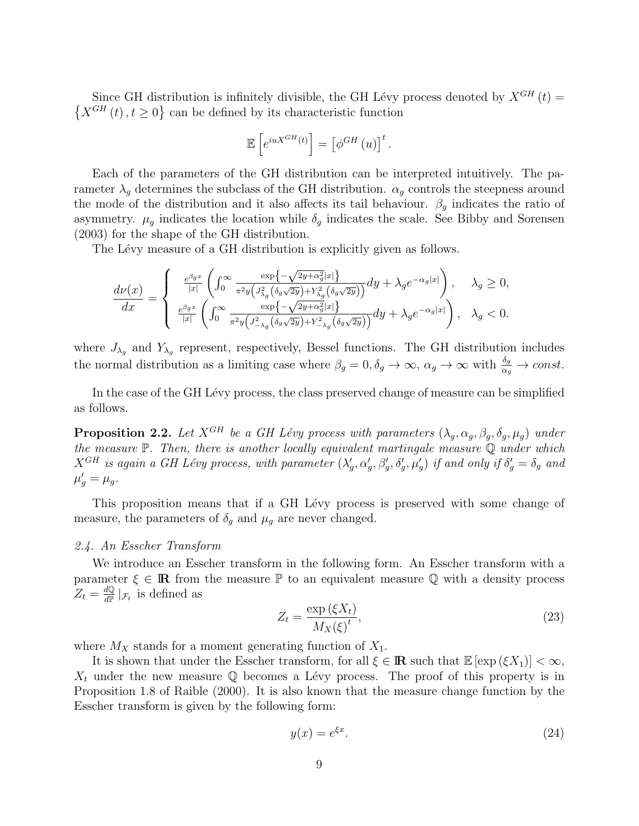Since GH distribution is infinitely divisible, the GH Lévy process denoted by  $X^{GH}(t)$  =  $\{X^{GH}(t), t \geq 0\}$  can be defined by its characteristic function

$$
\mathbb{E}\left[e^{iuX^{GH}(t)}\right] = \left[\phi^{GH}(u)\right]^t.
$$

Each of the parameters of the GH distribution can be interpreted intuitively. The parameter  $\lambda_q$  determines the subclass of the GH distribution.  $\alpha_q$  controls the steepness around the mode of the distribution and it also affects its tail behaviour.  $\beta_g$  indicates the ratio of asymmetry.  $\mu_g$  indicates the location while  $\delta_g$  indicates the scale. See Bibby and Sorensen (2003) for the shape of the GH distribution.

The Lévy measure of a GH distribution is explicitly given as follows.

$$
\frac{d\nu(x)}{dx}=\left\{\begin{array}{cc} \frac{e^{\beta_g x}}{|x|}\left(\int_0^\infty\frac{\exp\left\{-\sqrt{2y+\alpha_g^2}|x|\right\}}{\pi^2y\left(J_{\lambda_g}^2\left(\delta_g\sqrt{2y}\right)+Y_{\lambda_g}^2\left(\delta_g\sqrt{2y}\right)\right)}dy+\lambda_g e^{-\alpha_g|x|}\right), & \lambda_g\geq 0,\\ \frac{e^{\beta_g x}}{|x|}\left(\int_0^\infty\frac{\exp\left\{-\sqrt{2y+\alpha_g^2}|x|\right\}}{\pi^2y\left(J_{-\lambda_g}^2\left(\delta_g\sqrt{2y}\right)+Y_{-\lambda_g}^2\left(\delta_g\sqrt{2y}\right)\right)}dy+\lambda_g e^{-\alpha_g|x|}\right), & \lambda_g<0. \end{array}\right.
$$

where  $J_{\lambda_g}$  and  $Y_{\lambda_g}$  represent, respectively, Bessel functions. The GH distribution includes the normal distribution as a limiting case where  $\beta_g = 0, \delta_g \to \infty$ ,  $\alpha_g \to \infty$  with  $\frac{\delta_g}{\alpha_g} \to const.$ 

In the case of the GH Lévy process, the class preserved change of measure can be simplified as follows.

**Proposition 2.2.** *Let*  $X^{GH}$  *be a GH Lévy process with parameters*  $(\lambda_g, \alpha_g, \beta_g, \delta_g, \mu_g)$  *under the measure* P*. Then, there is another locally equivalent martingale measure* Q *under which*  $X^{GH}$  is again a GH Lévy process, with parameter  $(\lambda'_g, \alpha'_g, \beta'_g, \delta'_g, \mu'_g)$  if and only if  $\delta'_g = \delta_g$  and  $\mu'_{g} = \mu_{g}.$ 

This proposition means that if a GH Lévy process is preserved with some change of measure, the parameters of  $\delta_g$  and  $\mu_g$  are never changed.

## *2.4. An Esscher Transform*

We introduce an Esscher transform in the following form. An Esscher transform with a parameter  $\xi \in \mathbb{R}$  from the measure  $\mathbb{P}$  to an equivalent measure  $\mathbb{Q}$  with a density process  $Z_t = \frac{dQ}{dP}$  $\frac{dQ}{dP}|_{\mathcal{F}_t}$  is defined as

$$
Z_t = \frac{\exp\left(\xi X_t\right)}{M_X(\xi)}\tag{23}
$$

where  $M_X$  stands for a moment generating function of  $X_1$ .

It is shown that under the Esscher transform, for all  $\xi \in \mathbb{R}$  such that  $\mathbb{E}[\exp(\xi X_1)] < \infty$ ,  $X_t$  under the new measure  $\mathbb Q$  becomes a Lévy process. The proof of this property is in Proposition 1.8 of Raible (2000). It is also known that the measure change function by the Esscher transform is given by the following form:

$$
y(x) = e^{\xi x}.\tag{24}
$$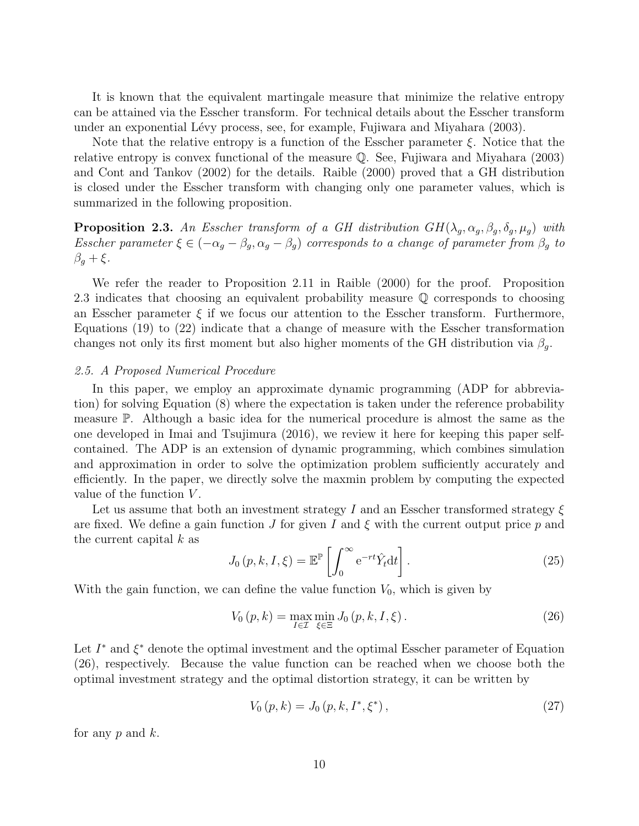It is known that the equivalent martingale measure that minimize the relative entropy can be attained via the Esscher transform. For technical details about the Esscher transform under an exponential Lévy process, see, for example, Fujiwara and Miyahara (2003).

Note that the relative entropy is a function of the Esscher parameter *ξ*. Notice that the relative entropy is convex functional of the measure Q. See, Fujiwara and Miyahara (2003) and Cont and Tankov (2002) for the details. Raible (2000) proved that a GH distribution is closed under the Esscher transform with changing only one parameter values, which is summarized in the following proposition.

**Proposition 2.3.** *An Esscher transform of a GH distribution*  $GH(\lambda_g, \alpha_g, \beta_g, \delta_g, \mu_g)$  *with Esscher parameter*  $\xi \in (-\alpha_g - \beta_g, \alpha_g - \beta_g)$  *corresponds to a change of parameter from*  $\beta_g$  *to β<sup>g</sup>* + *ξ.*

We refer the reader to Proposition 2.11 in Raible (2000) for the proof. Proposition 2.3 indicates that choosing an equivalent probability measure Q corresponds to choosing an Esscher parameter  $\xi$  if we focus our attention to the Esscher transform. Furthermore, Equations (19) to (22) indicate that a change of measure with the Esscher transformation changes not only its first moment but also higher moments of the GH distribution via  $\beta_q$ .

### *2.5. A Proposed Numerical Procedure*

In this paper, we employ an approximate dynamic programming (ADP for abbreviation) for solving Equation (8) where the expectation is taken under the reference probability measure P. Although a basic idea for the numerical procedure is almost the same as the one developed in Imai and Tsujimura (2016), we review it here for keeping this paper selfcontained. The ADP is an extension of dynamic programming, which combines simulation and approximation in order to solve the optimization problem sufficiently accurately and efficiently. In the paper, we directly solve the maxmin problem by computing the expected value of the function *V* .

Let us assume that both an investment strategy *I* and an Esscher transformed strategy *ξ* are fixed. We define a gain function *J* for given *I* and *ξ* with the current output price *p* and the current capital *k* as

$$
J_0(p, k, I, \xi) = \mathbb{E}^{\mathbb{P}} \left[ \int_0^\infty e^{-rt} \hat{Y}_t dt \right]. \tag{25}
$$

With the gain function, we can define the value function  $V_0$ , which is given by

$$
V_0(p,k) = \max_{I \in \mathcal{I}} \min_{\xi \in \Xi} J_0(p,k,I,\xi).
$$
 (26)

Let *I <sup>∗</sup>* and *ξ <sup>∗</sup>* denote the optimal investment and the optimal Esscher parameter of Equation (26), respectively. Because the value function can be reached when we choose both the optimal investment strategy and the optimal distortion strategy, it can be written by

$$
V_0(p,k) = J_0(p,k,I^*,\xi^*),
$$
\n(27)

for any *p* and *k*.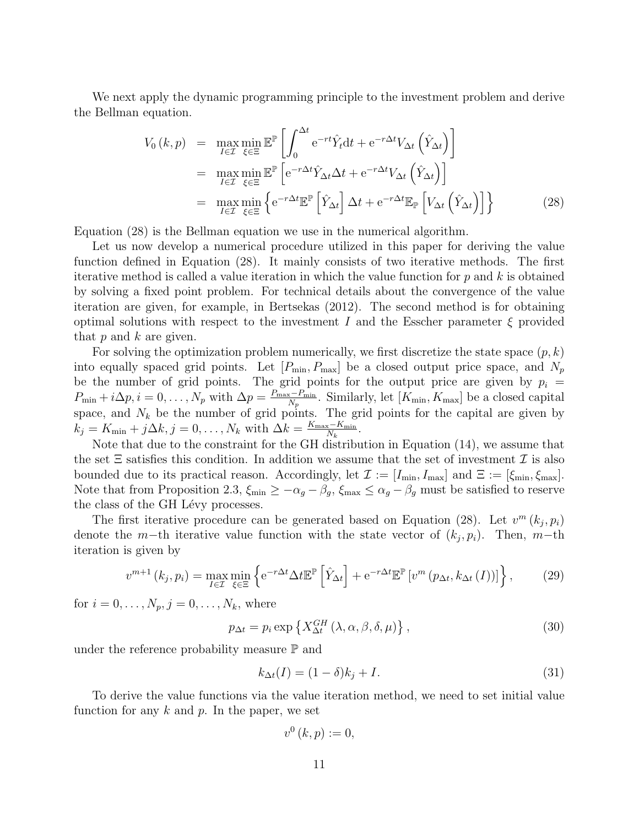We next apply the dynamic programming principle to the investment problem and derive the Bellman equation.

$$
V_0(k,p) = \max_{I \in \mathcal{I}} \min_{\xi \in \Xi} \mathbb{E}^{\mathbb{P}} \left[ \int_0^{\Delta t} e^{-rt} \hat{Y}_t dt + e^{-r\Delta t} V_{\Delta t} \left( \hat{Y}_{\Delta t} \right) \right]
$$
  
\n
$$
= \max_{I \in \mathcal{I}} \min_{\xi \in \Xi} \mathbb{E}^{\mathbb{P}} \left[ e^{-r\Delta t} \hat{Y}_{\Delta t} \Delta t + e^{-r\Delta t} V_{\Delta t} \left( \hat{Y}_{\Delta t} \right) \right]
$$
  
\n
$$
= \max_{I \in \mathcal{I}} \min_{\xi \in \Xi} \left\{ e^{-r\Delta t} \mathbb{E}^{\mathbb{P}} \left[ \hat{Y}_{\Delta t} \right] \Delta t + e^{-r\Delta t} \mathbb{E}_{\mathbb{P}} \left[ V_{\Delta t} \left( \hat{Y}_{\Delta t} \right) \right] \right\}
$$
(28)

Equation (28) is the Bellman equation we use in the numerical algorithm.

Let us now develop a numerical procedure utilized in this paper for deriving the value function defined in Equation (28). It mainly consists of two iterative methods. The first iterative method is called a value iteration in which the value function for *p* and *k* is obtained by solving a fixed point problem. For technical details about the convergence of the value iteration are given, for example, in Bertsekas (2012). The second method is for obtaining optimal solutions with respect to the investment *I* and the Esscher parameter *ξ* provided that *p* and *k* are given.

For solving the optimization problem numerically, we first discretize the state space (*p, k*) into equally spaced grid points. Let  $[P_{\min}, P_{\max}]$  be a closed output price space, and  $N_p$ be the number of grid points. The grid points for the output price are given by  $p_i =$  $P_{\min} + i\Delta p, i = 0, \ldots, N_p$  with  $\Delta p = \frac{P_{\max} - P_{\min}}{N_p}$ . Similarly, let  $[K_{\min}, K_{\max}]$  be a closed capital space, and  $N_k$  be the number of grid points. The grid points for the capital are given by  $k_j = K_{\min} + j\Delta k, j = 0, \ldots, N_k$  with  $\Delta k = \frac{K_{\max} - K_{\min}}{N_k}$ .

Note that due to the constraint for the GH distribution in Equation (14), we assume that the set  $\Xi$  satisfies this condition. In addition we assume that the set of investment  $\mathcal I$  is also bounded due to its practical reason. Accordingly, let  $\mathcal{I} := [I_{\min}, I_{\max}]$  and  $\Xi := [\xi_{\min}, \xi_{\max}]$ . Note that from Proposition 2.3,  $\xi_{\min} \geq -\alpha_g - \beta_g$ ,  $\xi_{\max} \leq \alpha_g - \beta_g$  must be satisfied to reserve the class of the GH Lévy processes.

The first iterative procedure can be generated based on Equation (28). Let  $v^m (k_j, p_i)$ denote the *m*−th iterative value function with the state vector of  $(k_j, p_i)$ . Then, *m*−th iteration is given by

$$
v^{m+1}\left(k_j, p_i\right) = \max_{I \in \mathcal{I}} \min_{\xi \in \Xi} \left\{ e^{-r\Delta t} \Delta t \mathbb{E}^{\mathbb{P}} \left[ \hat{Y}_{\Delta t} \right] + e^{-r\Delta t} \mathbb{E}^{\mathbb{P}} \left[ v^m \left( p_{\Delta t}, k_{\Delta t} \left( I \right) \right) \right] \right\},\tag{29}
$$

for  $i = 0, ..., N_p, j = 0, ..., N_k$ , where

$$
p_{\Delta t} = p_i \exp\left\{X_{\Delta t}^{GH}(\lambda, \alpha, \beta, \delta, \mu)\right\},\tag{30}
$$

under the reference probability measure  $\mathbb P$  and

$$
k_{\Delta t}(I) = (1 - \delta)k_j + I. \tag{31}
$$

To derive the value functions via the value iteration method, we need to set initial value function for any *k* and *p*. In the paper, we set

$$
v^{0}\left( k,p\right) :=0,
$$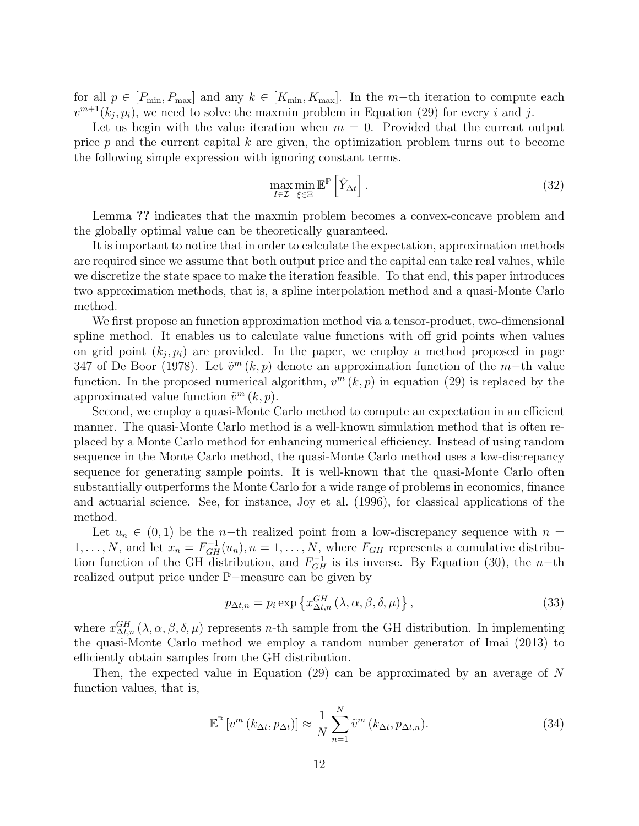for all  $p \in [P_{\min}, P_{\max}]$  and any  $k \in [K_{\min}, K_{\max}]$ . In the  $m$ -th iteration to compute each  $v^{m+1}(k_j, p_i)$ , we need to solve the maxmin problem in Equation (29) for every *i* and *j*.

Let us begin with the value iteration when  $m = 0$ . Provided that the current output price *p* and the current capital *k* are given, the optimization problem turns out to become the following simple expression with ignoring constant terms.

$$
\max_{I \in \mathcal{I}} \min_{\xi \in \Xi} \mathbb{E}^{\mathbb{P}} \left[ \hat{Y}_{\Delta t} \right]. \tag{32}
$$

Lemma **??** indicates that the maxmin problem becomes a convex-concave problem and the globally optimal value can be theoretically guaranteed.

It is important to notice that in order to calculate the expectation, approximation methods are required since we assume that both output price and the capital can take real values, while we discretize the state space to make the iteration feasible. To that end, this paper introduces two approximation methods, that is, a spline interpolation method and a quasi-Monte Carlo method.

We first propose an function approximation method via a tensor-product, two-dimensional spline method. It enables us to calculate value functions with off grid points when values on grid point  $(k_j, p_i)$  are provided. In the paper, we employ a method proposed in page 347 of De Boor (1978). Let ˜*v <sup>m</sup>* (*k, p*) denote an approximation function of the *m−*th value function. In the proposed numerical algorithm,  $v^m(k, p)$  in equation (29) is replaced by the approximated value function  $\tilde{v}^m(k, p)$ .

Second, we employ a quasi-Monte Carlo method to compute an expectation in an efficient manner. The quasi-Monte Carlo method is a well-known simulation method that is often replaced by a Monte Carlo method for enhancing numerical efficiency. Instead of using random sequence in the Monte Carlo method, the quasi-Monte Carlo method uses a low-discrepancy sequence for generating sample points. It is well-known that the quasi-Monte Carlo often substantially outperforms the Monte Carlo for a wide range of problems in economics, finance and actuarial science. See, for instance, Joy et al. (1996), for classical applications of the method.

Let  $u_n \in (0,1)$  be the *n*−th realized point from a low-discrepancy sequence with  $n =$ 1, ..., N, and let  $x_n = F_{GH}^{-1}(u_n)$ ,  $n = 1, ..., N$ , where  $F_{GH}$  represents a cumulative distribution function of the GH distribution, and  $F_{GH}^{-1}$  is its inverse. By Equation (30), the *n*−th realized output price under P*−*measure can be given by

$$
p_{\Delta t,n} = p_i \exp\left\{x_{\Delta t,n}^{GH}(\lambda,\alpha,\beta,\delta,\mu)\right\},\tag{33}
$$

where  $x_{\Delta t,n}^{GH}(\lambda,\alpha,\beta,\delta,\mu)$  represents *n*-th sample from the GH distribution. In implementing the quasi-Monte Carlo method we employ a random number generator of Imai (2013) to efficiently obtain samples from the GH distribution.

Then, the expected value in Equation (29) can be approximated by an average of *N* function values, that is,

$$
\mathbb{E}^{\mathbb{P}}\left[v^{m}\left(k_{\Delta t}, p_{\Delta t}\right)\right] \approx \frac{1}{N} \sum_{n=1}^{N} \tilde{v}^{m}\left(k_{\Delta t}, p_{\Delta t,n}\right).
$$
\n(34)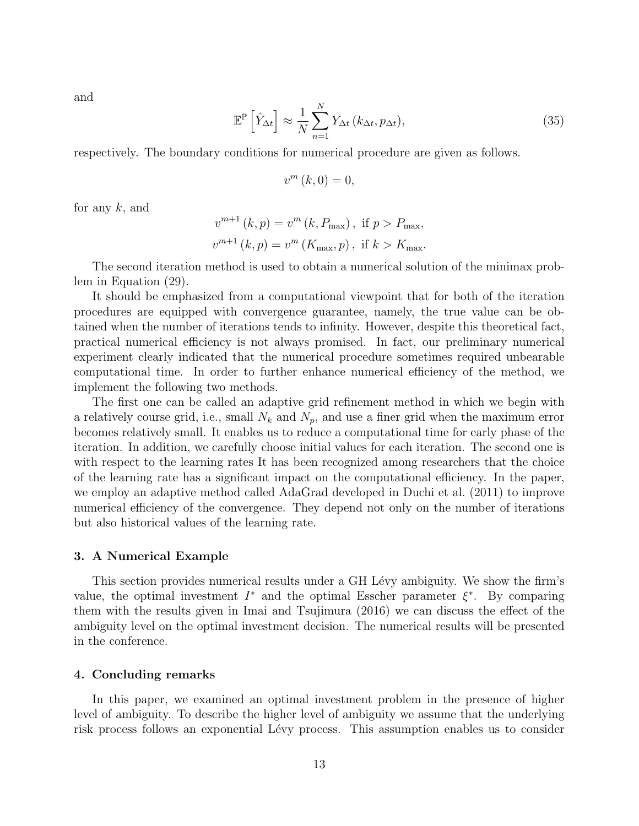and

$$
\mathbb{E}^{\mathbb{P}}\left[\hat{Y}_{\Delta t}\right] \approx \frac{1}{N} \sum_{n=1}^{N} Y_{\Delta t} \left(k_{\Delta t}, p_{\Delta t}\right),\tag{35}
$$

respectively. The boundary conditions for numerical procedure are given as follows.

$$
v^{m}\left( k,0\right) =0,
$$

for any *k*, and

$$
v^{m+1} (k, p) = v^{m} (k, P_{\text{max}}), \text{ if } p > P_{\text{max}},
$$
  

$$
v^{m+1} (k, p) = v^{m} (K_{\text{max}}, p), \text{ if } k > K_{\text{max}}.
$$

The second iteration method is used to obtain a numerical solution of the minimax problem in Equation (29).

It should be emphasized from a computational viewpoint that for both of the iteration procedures are equipped with convergence guarantee, namely, the true value can be obtained when the number of iterations tends to infinity. However, despite this theoretical fact, practical numerical efficiency is not always promised. In fact, our preliminary numerical experiment clearly indicated that the numerical procedure sometimes required unbearable computational time. In order to further enhance numerical efficiency of the method, we implement the following two methods.

The first one can be called an adaptive grid refinement method in which we begin with a relatively course grid, i.e., small  $N_k$  and  $N_p$ , and use a finer grid when the maximum error becomes relatively small. It enables us to reduce a computational time for early phase of the iteration. In addition, we carefully choose initial values for each iteration. The second one is with respect to the learning rates It has been recognized among researchers that the choice of the learning rate has a significant impact on the computational efficiency. In the paper, we employ an adaptive method called AdaGrad developed in Duchi et al. (2011) to improve numerical efficiency of the convergence. They depend not only on the number of iterations but also historical values of the learning rate.

# **3. A Numerical Example**

This section provides numerical results under a GH Lévy ambiguity. We show the firm's value, the optimal investment  $I^*$  and the optimal Esscher parameter  $\xi^*$ . By comparing them with the results given in Imai and Tsujimura (2016) we can discuss the effect of the ambiguity level on the optimal investment decision. The numerical results will be presented in the conference.

## **4. Concluding remarks**

In this paper, we examined an optimal investment problem in the presence of higher level of ambiguity. To describe the higher level of ambiguity we assume that the underlying risk process follows an exponential Lévy process. This assumption enables us to consider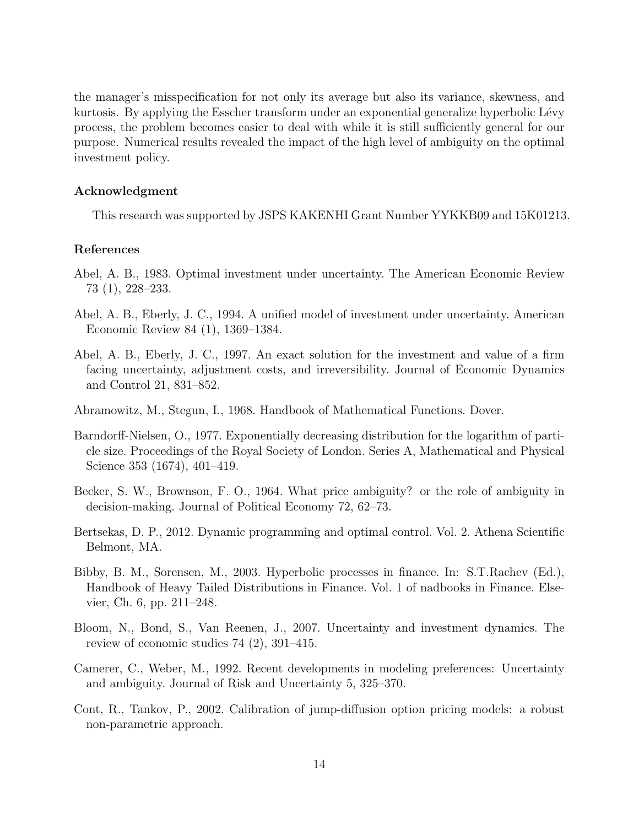the manager's misspecification for not only its average but also its variance, skewness, and kurtosis. By applying the Esscher transform under an exponential generalize hyperbolic Lévy process, the problem becomes easier to deal with while it is still sufficiently general for our purpose. Numerical results revealed the impact of the high level of ambiguity on the optimal investment policy.

# **Acknowledgment**

This research was supported by JSPS KAKENHI Grant Number YYKKB09 and 15K01213.

# **References**

- Abel, A. B., 1983. Optimal investment under uncertainty. The American Economic Review 73 (1), 228–233.
- Abel, A. B., Eberly, J. C., 1994. A unified model of investment under uncertainty. American Economic Review 84 (1), 1369–1384.
- Abel, A. B., Eberly, J. C., 1997. An exact solution for the investment and value of a firm facing uncertainty, adjustment costs, and irreversibility. Journal of Economic Dynamics and Control 21, 831–852.
- Abramowitz, M., Stegun, I., 1968. Handbook of Mathematical Functions. Dover.
- Barndorff-Nielsen, O., 1977. Exponentially decreasing distribution for the logarithm of particle size. Proceedings of the Royal Society of London. Series A, Mathematical and Physical Science 353 (1674), 401–419.
- Becker, S. W., Brownson, F. O., 1964. What price ambiguity? or the role of ambiguity in decision-making. Journal of Political Economy 72, 62–73.
- Bertsekas, D. P., 2012. Dynamic programming and optimal control. Vol. 2. Athena Scientific Belmont, MA.
- Bibby, B. M., Sorensen, M., 2003. Hyperbolic processes in finance. In: S.T.Rachev (Ed.), Handbook of Heavy Tailed Distributions in Finance. Vol. 1 of nadbooks in Finance. Elsevier, Ch. 6, pp. 211–248.
- Bloom, N., Bond, S., Van Reenen, J., 2007. Uncertainty and investment dynamics. The review of economic studies 74 (2), 391–415.
- Camerer, C., Weber, M., 1992. Recent developments in modeling preferences: Uncertainty and ambiguity. Journal of Risk and Uncertainty 5, 325–370.
- Cont, R., Tankov, P., 2002. Calibration of jump-diffusion option pricing models: a robust non-parametric approach.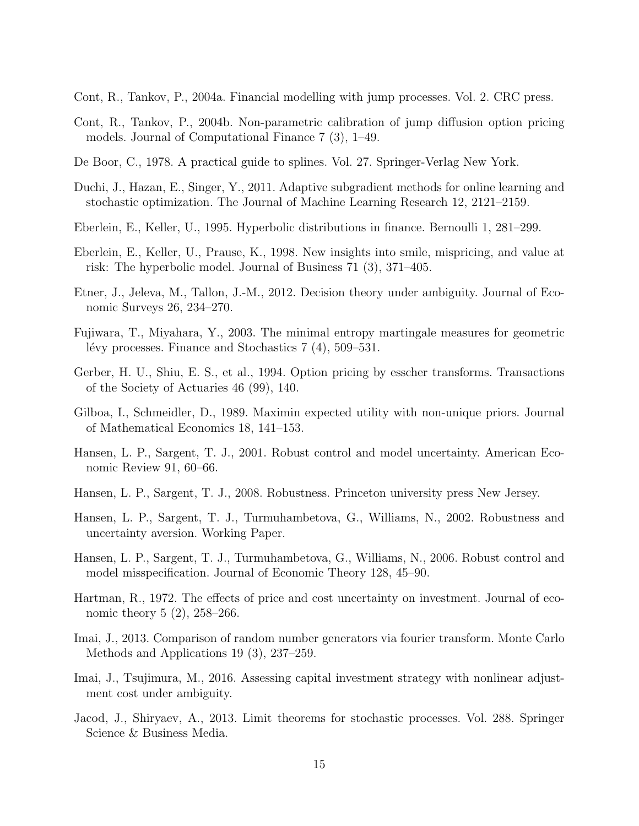Cont, R., Tankov, P., 2004a. Financial modelling with jump processes. Vol. 2. CRC press.

- Cont, R., Tankov, P., 2004b. Non-parametric calibration of jump diffusion option pricing models. Journal of Computational Finance 7 (3), 1–49.
- De Boor, C., 1978. A practical guide to splines. Vol. 27. Springer-Verlag New York.
- Duchi, J., Hazan, E., Singer, Y., 2011. Adaptive subgradient methods for online learning and stochastic optimization. The Journal of Machine Learning Research 12, 2121–2159.
- Eberlein, E., Keller, U., 1995. Hyperbolic distributions in finance. Bernoulli 1, 281–299.
- Eberlein, E., Keller, U., Prause, K., 1998. New insights into smile, mispricing, and value at risk: The hyperbolic model. Journal of Business 71 (3), 371–405.
- Etner, J., Jeleva, M., Tallon, J.-M., 2012. Decision theory under ambiguity. Journal of Economic Surveys 26, 234–270.
- Fujiwara, T., Miyahara, Y., 2003. The minimal entropy martingale measures for geometric lévy processes. Finance and Stochastics  $7(4)$ , 509–531.
- Gerber, H. U., Shiu, E. S., et al., 1994. Option pricing by esscher transforms. Transactions of the Society of Actuaries 46 (99), 140.
- Gilboa, I., Schmeidler, D., 1989. Maximin expected utility with non-unique priors. Journal of Mathematical Economics 18, 141–153.
- Hansen, L. P., Sargent, T. J., 2001. Robust control and model uncertainty. American Economic Review 91, 60–66.
- Hansen, L. P., Sargent, T. J., 2008. Robustness. Princeton university press New Jersey.
- Hansen, L. P., Sargent, T. J., Turmuhambetova, G., Williams, N., 2002. Robustness and uncertainty aversion. Working Paper.
- Hansen, L. P., Sargent, T. J., Turmuhambetova, G., Williams, N., 2006. Robust control and model misspecification. Journal of Economic Theory 128, 45–90.
- Hartman, R., 1972. The effects of price and cost uncertainty on investment. Journal of economic theory 5 (2), 258–266.
- Imai, J., 2013. Comparison of random number generators via fourier transform. Monte Carlo Methods and Applications 19 (3), 237–259.
- Imai, J., Tsujimura, M., 2016. Assessing capital investment strategy with nonlinear adjustment cost under ambiguity.
- Jacod, J., Shiryaev, A., 2013. Limit theorems for stochastic processes. Vol. 288. Springer Science & Business Media.